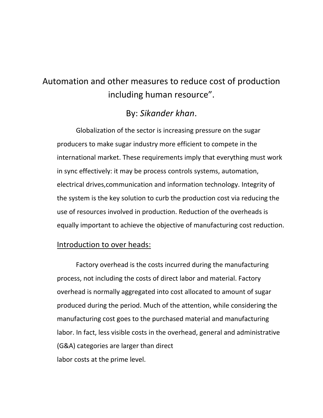# Automation and other measures to reduce cost of production including human resource".

# By: *Sikander khan*.

Globalization of the sector is increasing pressure on the sugar producers to make sugar industry more efficient to compete in the international market. These requirements imply that everything must work in sync effectively: it may be process controls systems, automation, electrical drives,communication and information technology. Integrity of the system is the key solution to curb the production cost via reducing the use of resources involved in production. Reduction of the overheads is equally important to achieve the objective of manufacturing cost reduction.

## Introduction to over heads:

Factory overhead is the costs incurred during the manufacturing process, not including the costs of direct labor and material. Factory overhead is normally aggregated into cost allocated to amount of sugar produced during the period. Much of the attention, while considering the manufacturing cost goes to the purchased material and manufacturing labor. In fact, less visible costs in the overhead, general and administrative (G&A) categories are larger than direct labor costs at the prime level.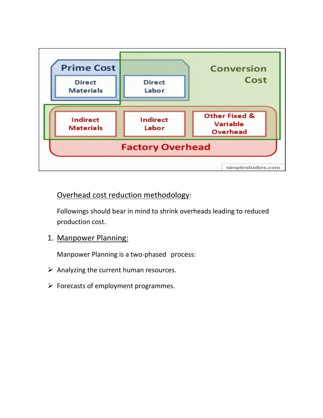

## Overhead cost reduction methodology:

Followings should bear in mind to shrink overheads leading to reduced production cost.

#### 1. Manpower Planning:

Manpower Planning is a two-phased process:

- $\triangleright$  Analyzing the current human resources.
- $\triangleright$  Forecasts of employment programmes.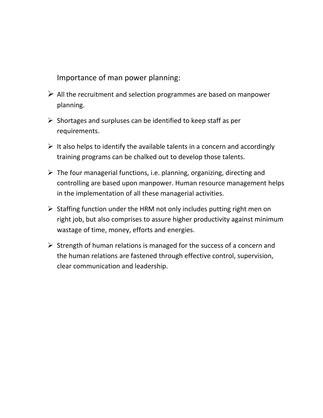Importance of man power planning:

- $\triangleright$  All the recruitment and selection programmes are based on manpower planning.
- $\triangleright$  Shortages and surpluses can be identified to keep staff as per requirements.
- $\triangleright$  It also helps to identify the available talents in a concern and accordingly training programs can be chalked out to develop those talents.
- $\triangleright$  The four managerial functions, i.e. planning, organizing, directing and controlling are based upon manpower. Human resource management helps in the implementation of all these managerial activities.
- $\triangleright$  Staffing function under the HRM not only includes putting right men on right job, but also comprises to assure higher productivity against minimum wastage of time, money, efforts and energies.
- $\triangleright$  Strength of human relations is managed for the success of a concern and the human relations are fastened through effective control, supervision, clear communication and leadership.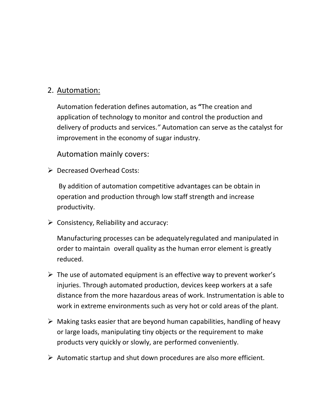## 2. Automation:

Automation federation defines automation, as **"**The creation and application of technology to monitor and control the production and delivery of products and services.*"* Automation can serve as the catalyst for improvement in the economy of sugar industry.

Automation mainly covers:

Decreased Overhead Costs:

By addition of automation competitive advantages can be obtain in operation and production through low staff strength and increase productivity.

 $\triangleright$  Consistency, Reliability and accuracy:

Manufacturing processes can be adequatelyregulated and manipulated in order to maintain overall quality as the human error element is greatly reduced.

- $\triangleright$  The use of automated equipment is an effective way to prevent worker's injuries. Through automated production, devices keep workers at a safe distance from the more hazardous areas of work. Instrumentation is able to work in extreme environments such as very hot or cold areas of the plant.
- $\triangleright$  Making tasks easier that are beyond human capabilities, handling of heavy or large loads, manipulating tiny objects or the requirement to make products very quickly or slowly, are performed conveniently.
- $\triangleright$  Automatic startup and shut down procedures are also more efficient.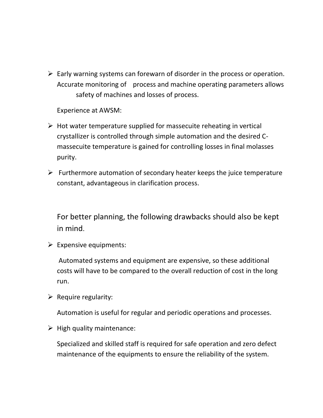$\triangleright$  Early warning systems can forewarn of disorder in the process or operation. Accurate monitoring of process and machine operating parameters allows safety of machines and losses of process.

Experience at AWSM:

- $\triangleright$  Hot water temperature supplied for massecuite reheating in vertical crystallizer is controlled through simple automation and the desired Cmassecuite temperature is gained for controlling losses in final molasses purity.
- $\triangleright$  Furthermore automation of secondary heater keeps the juice temperature constant, advantageous in clarification process.

For better planning, the following drawbacks should also be kept in mind.

 $\triangleright$  Expensive equipments:

Automated systems and equipment are expensive, so these additional costs will have to be compared to the overall reduction of cost in the long run.

 $\triangleright$  Require regularity:

Automation is useful for regular and periodic operations and processes.

 $\triangleright$  High quality maintenance:

Specialized and skilled staff is required for safe operation and zero defect maintenance of the equipments to ensure the reliability of the system.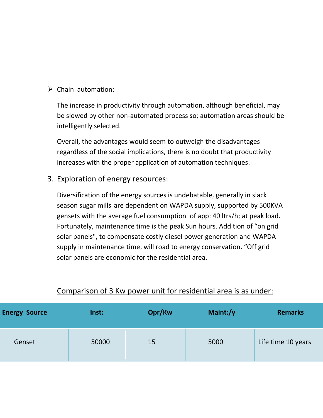$\triangleright$  Chain automation:

The increase in productivity through automation, although beneficial, may be slowed by other non-automated process so; automation areas should be intelligently selected.

Overall, the advantages would seem to outweigh the disadvantages regardless of the social implications, there is no doubt that productivity increases with the proper application of automation techniques.

3. Exploration of energy resources:

Diversification of the energy sources is undebatable, generally in slack season sugar mills are dependent on WAPDA supply, supported by 500KVA gensets with the average fuel consumption of app: 40 ltrs/h; at peak load. Fortunately, maintenance time is the peak Sun hours. Addition of "on grid solar panels", to compensate costly diesel power generation and WAPDA supply in maintenance time, will road to energy conservation. "Off grid solar panels are economic for the residential area.

| <b>Energy Source</b> | Inst: | Opr/Kw | Maint:/y | <b>Remarks</b>     |
|----------------------|-------|--------|----------|--------------------|
| Genset               | 50000 | 15     | 5000     | Life time 10 years |

#### Comparison of 3 Kw power unit for residential area is as under: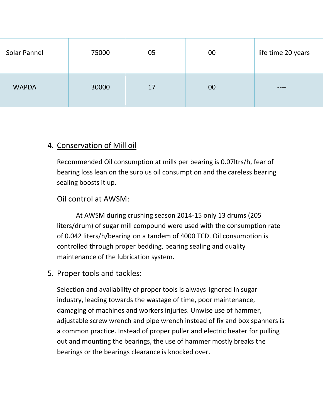| Solar Pannel | 75000 | 05 | 00 | life time 20 years |
|--------------|-------|----|----|--------------------|
| <b>WAPDA</b> | 30000 | 17 | 00 | ----               |

# 4. Conservation of Mill oil

Recommended Oil consumption at mills per bearing is 0.07ltrs/h, fear of bearing loss lean on the surplus oil consumption and the careless bearing sealing boosts it up.

## Oil control at AWSM:

At AWSM during crushing season 2014-15 only 13 drums (205 liters/drum) of sugar mill compound were used with the consumption rate of 0.042 liters/h/bearing on a tandem of 4000 TCD. Oil consumption is controlled through proper bedding, bearing sealing and quality maintenance of the lubrication system.

## 5. Proper tools and tackles:

Selection and availability of proper tools is always ignored in sugar industry, leading towards the wastage of time, poor maintenance, damaging of machines and workers injuries. Unwise use of hammer, adjustable screw wrench and pipe wrench instead of fix and box spanners is a common practice. Instead of proper puller and electric heater for pulling out and mounting the bearings, the use of hammer mostly breaks the bearings or the bearings clearance is knocked over.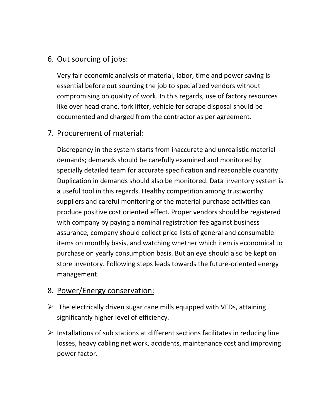# 6. Out sourcing of jobs:

Very fair economic analysis of material, labor, time and power saving is essential before out sourcing the job to specialized vendors without compromising on quality of work. In this regards, use of factory resources like over head crane, fork lifter, vehicle for scrape disposal should be documented and charged from the contractor as per agreement.

# 7. Procurement of material:

Discrepancy in the system starts from inaccurate and unrealistic material demands; demands should be carefully examined and monitored by specially detailed team for accurate specification and reasonable quantity. Duplication in demands should also be monitored. Data inventory system is a useful tool in this regards. Healthy competition among trustworthy suppliers and careful monitoring of the material purchase activities can produce positive cost oriented effect. Proper vendors should be registered with company by paying a nominal registration fee against business assurance, company should collect price lists of general and consumable items on monthly basis, and watching whether which item is economical to purchase on yearly consumption basis. But an eye should also be kept on store inventory. Following steps leads towards the future-oriented energy management.

# 8. Power/Energy conservation:

- $\triangleright$  The electrically driven sugar cane mills equipped with VFDs, attaining significantly higher level of efficiency.
- $\triangleright$  Installations of sub stations at different sections facilitates in reducing line losses, heavy cabling net work, accidents, maintenance cost and improving power factor.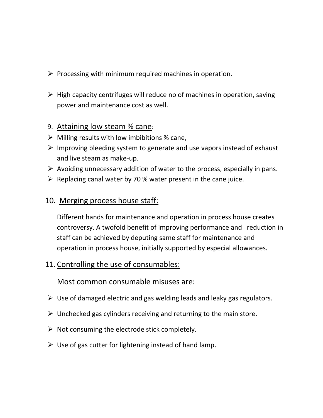- $\triangleright$  Processing with minimum required machines in operation.
- $\triangleright$  High capacity centrifuges will reduce no of machines in operation, saving power and maintenance cost as well.

#### 9. Attaining low steam % cane:

- $\triangleright$  Milling results with low imbibitions % cane,
- $\triangleright$  Improving bleeding system to generate and use vapors instead of exhaust and live steam as make-up.
- $\triangleright$  Avoiding unnecessary addition of water to the process, especially in pans.
- $\triangleright$  Replacing canal water by 70 % water present in the cane juice.

#### 10. Merging process house staff:

Different hands for maintenance and operation in process house creates controversy. A twofold benefit of improving performance and reduction in staff can be achieved by deputing same staff for maintenance and operation in process house, initially supported by especial allowances.

#### 11. Controlling the use of consumables:

Most common consumable misuses are:

- $\triangleright$  Use of damaged electric and gas welding leads and leaky gas regulators.
- $\triangleright$  Unchecked gas cylinders receiving and returning to the main store.
- $\triangleright$  Not consuming the electrode stick completely.
- $\triangleright$  Use of gas cutter for lightening instead of hand lamp.